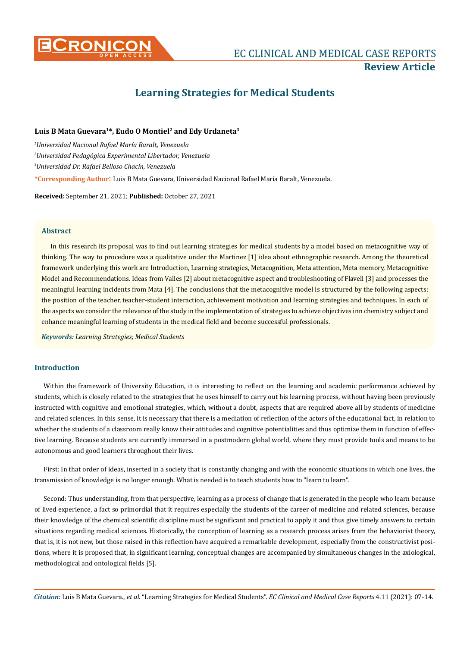

# **Learning Strategies for Medical Students**

## **Luis B Mata Guevara1\*, Eudo O Montiel2 and Edy Urdaneta3**

 *Universidad Nacional Rafael María Baralt, Venezuela Universidad Pedagógica Experimental Libertador, Venezuela Universidad Dr. Rafael Belloso Chacín, Venezuela* **\*Corresponding Author**: Luis B Mata Guevara, Universidad Nacional Rafael María Baralt, Venezuela.

**Received:** September 21, 2021; **Published:** October 27, 2021

## **Abstract**

In this research its proposal was to find out learning strategies for medical students by a model based on metacognitive way of thinking. The way to procedure was a qualitative under the Martinez [1] idea about ethnographic research. Among the theoretical framework underlying this work are Introduction, Learning strategies, Metacognition, Meta attention, Meta memory, Metacognitive Model and Recommendations. Ideas from Valles [2] about metacognitive aspect and troubleshooting of Flavell [3] and processes the meaningful learning incidents from Mata [4]. The conclusions that the metacognitive model is structured by the following aspects: the position of the teacher, teacher-student interaction, achievement motivation and learning strategies and techniques. In each of the aspects we consider the relevance of the study in the implementation of strategies to achieve objectives inn chemistry subject and enhance meaningful learning of students in the medical field and become successful professionals.

*Keywords: Learning Strategies; Medical Students*

## **Introduction**

Within the framework of University Education, it is interesting to reflect on the learning and academic performance achieved by students, which is closely related to the strategies that he uses himself to carry out his learning process, without having been previously instructed with cognitive and emotional strategies, which, without a doubt, aspects that are required above all by students of medicine and related sciences. In this sense, it is necessary that there is a mediation of reflection of the actors of the educational fact, in relation to whether the students of a classroom really know their attitudes and cognitive potentialities and thus optimize them in function of effective learning. Because students are currently immersed in a postmodern global world, where they must provide tools and means to be autonomous and good learners throughout their lives.

First: In that order of ideas, inserted in a society that is constantly changing and with the economic situations in which one lives, the transmission of knowledge is no longer enough. What is needed is to teach students how to "learn to learn".

Second: Thus understanding, from that perspective, learning as a process of change that is generated in the people who learn because of lived experience, a fact so primordial that it requires especially the students of the career of medicine and related sciences, because their knowledge of the chemical scientific discipline must be significant and practical to apply it and thus give timely answers to certain situations regarding medical sciences. Historically, the conception of learning as a research process arises from the behaviorist theory, that is, it is not new, but those raised in this reflection have acquired a remarkable development, especially from the constructivist positions, where it is proposed that, in significant learning, conceptual changes are accompanied by simultaneous changes in the axiological, methodological and ontological fields [5].

*Citation:* Luis B Mata Guevara., *et al*. "Learning Strategies for Medical Students". *EC Clinical and Medical Case Reports* 4.11 (2021): 07-14.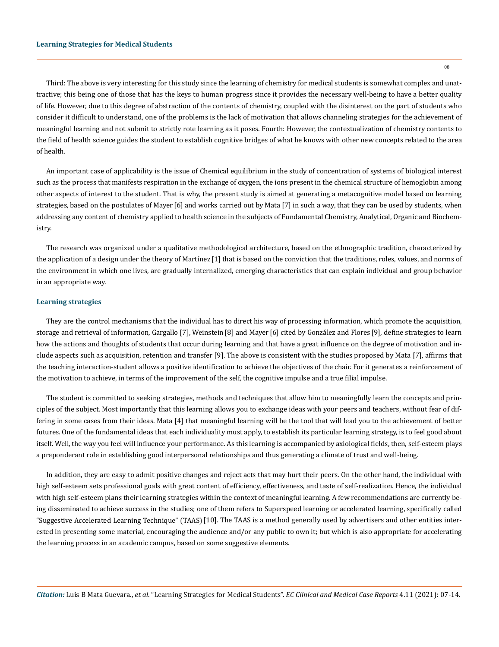Third: The above is very interesting for this study since the learning of chemistry for medical students is somewhat complex and unattractive; this being one of those that has the keys to human progress since it provides the necessary well-being to have a better quality of life. However, due to this degree of abstraction of the contents of chemistry, coupled with the disinterest on the part of students who consider it difficult to understand, one of the problems is the lack of motivation that allows channeling strategies for the achievement of meaningful learning and not submit to strictly rote learning as it poses. Fourth: However, the contextualization of chemistry contents to the field of health science guides the student to establish cognitive bridges of what he knows with other new concepts related to the area of health.

An important case of applicability is the issue of Chemical equilibrium in the study of concentration of systems of biological interest such as the process that manifests respiration in the exchange of oxygen, the ions present in the chemical structure of hemoglobin among other aspects of interest to the student. That is why, the present study is aimed at generating a metacognitive model based on learning strategies, based on the postulates of Mayer [6] and works carried out by Mata [7] in such a way, that they can be used by students, when addressing any content of chemistry applied to health science in the subjects of Fundamental Chemistry, Analytical, Organic and Biochemistry.

The research was organized under a qualitative methodological architecture, based on the ethnographic tradition, characterized by the application of a design under the theory of Martínez [1] that is based on the conviction that the traditions, roles, values, and norms of the environment in which one lives, are gradually internalized, emerging characteristics that can explain individual and group behavior in an appropriate way.

#### **Learning strategies**

They are the control mechanisms that the individual has to direct his way of processing information, which promote the acquisition, storage and retrieval of information, Gargallo [7], Weinstein [8] and Mayer [6] cited by González and Flores [9], define strategies to learn how the actions and thoughts of students that occur during learning and that have a great influence on the degree of motivation and include aspects such as acquisition, retention and transfer [9]. The above is consistent with the studies proposed by Mata [7], affirms that the teaching interaction-student allows a positive identification to achieve the objectives of the chair. For it generates a reinforcement of the motivation to achieve, in terms of the improvement of the self, the cognitive impulse and a true filial impulse.

The student is committed to seeking strategies, methods and techniques that allow him to meaningfully learn the concepts and principles of the subject. Most importantly that this learning allows you to exchange ideas with your peers and teachers, without fear of differing in some cases from their ideas. Mata [4] that meaningful learning will be the tool that will lead you to the achievement of better futures. One of the fundamental ideas that each individuality must apply, to establish its particular learning strategy, is to feel good about itself. Well, the way you feel will influence your performance. As this learning is accompanied by axiological fields, then, self-esteem plays a preponderant role in establishing good interpersonal relationships and thus generating a climate of trust and well-being.

In addition, they are easy to admit positive changes and reject acts that may hurt their peers. On the other hand, the individual with high self-esteem sets professional goals with great content of efficiency, effectiveness, and taste of self-realization. Hence, the individual with high self-esteem plans their learning strategies within the context of meaningful learning. A few recommendations are currently being disseminated to achieve success in the studies; one of them refers to Superspeed learning or accelerated learning, specifically called "Suggestive Accelerated Learning Technique" (TAAS) [10]. The TAAS is a method generally used by advertisers and other entities interested in presenting some material, encouraging the audience and/or any public to own it; but which is also appropriate for accelerating the learning process in an academic campus, based on some suggestive elements.

*Citation:* Luis B Mata Guevara., *et al*. "Learning Strategies for Medical Students". *EC Clinical and Medical Case Reports* 4.11 (2021): 07-14.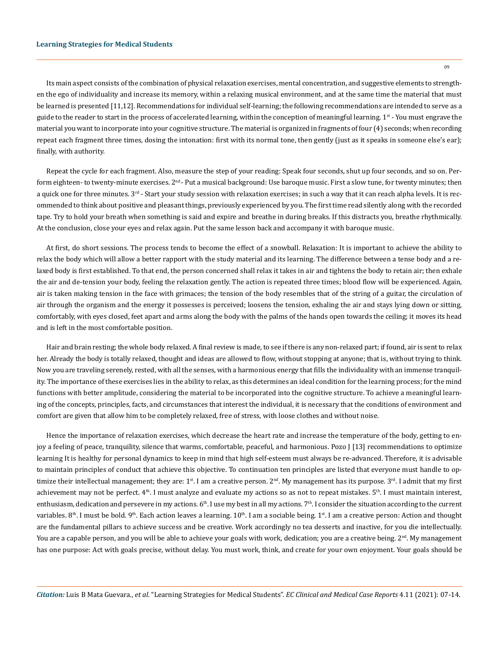Its main aspect consists of the combination of physical relaxation exercises, mental concentration, and suggestive elements to strengthen the ego of individuality and increase its memory, within a relaxing musical environment, and at the same time the material that must be learned is presented [11,12]. Recommendations for individual self-learning; the following recommendations are intended to serve as a guide to the reader to start in the process of accelerated learning, within the conception of meaningful learning. 1<sup>st</sup> - You must engrave the material you want to incorporate into your cognitive structure. The material is organized in fragments of four (4) seconds; when recording repeat each fragment three times, dosing the intonation: first with its normal tone, then gently (just as it speaks in someone else's ear); finally, with authority.

Repeat the cycle for each fragment. Also, measure the step of your reading: Speak four seconds, shut up four seconds, and so on. Perform eighteen- to twenty-minute exercises.  $2^{nd}$ - Put a musical background: Use baroque music. First a slow tune, for twenty minutes; then a quick one for three minutes.  $3^{rd}$  - Start your study session with relaxation exercises; in such a way that it can reach alpha levels. It is recommended to think about positive and pleasant things, previously experienced by you. The first time read silently along with the recorded tape. Try to hold your breath when something is said and expire and breathe in during breaks. If this distracts you, breathe rhythmically. At the conclusion, close your eyes and relax again. Put the same lesson back and accompany it with baroque music.

At first, do short sessions. The process tends to become the effect of a snowball. Relaxation: It is important to achieve the ability to relax the body which will allow a better rapport with the study material and its learning. The difference between a tense body and a relaxed body is first established. To that end, the person concerned shall relax it takes in air and tightens the body to retain air; then exhale the air and de-tension your body, feeling the relaxation gently. The action is repeated three times; blood flow will be experienced. Again, air is taken making tension in the face with grimaces; the tension of the body resembles that of the string of a guitar, the circulation of air through the organism and the energy it possesses is perceived; loosens the tension, exhaling the air and stays lying down or sitting, comfortably, with eyes closed, feet apart and arms along the body with the palms of the hands open towards the ceiling; it moves its head and is left in the most comfortable position.

Hair and brain resting; the whole body relaxed. A final review is made, to see if there is any non-relaxed part; if found, air is sent to relax her. Already the body is totally relaxed, thought and ideas are allowed to flow, without stopping at anyone; that is, without trying to think. Now you are traveling serenely, rested, with all the senses, with a harmonious energy that fills the individuality with an immense tranquility. The importance of these exercises lies in the ability to relax, as this determines an ideal condition for the learning process; for the mind functions with better amplitude, considering the material to be incorporated into the cognitive structure. To achieve a meaningful learning of the concepts, principles, facts, and circumstances that interest the individual, it is necessary that the conditions of environment and comfort are given that allow him to be completely relaxed, free of stress, with loose clothes and without noise.

Hence the importance of relaxation exercises, which decrease the heart rate and increase the temperature of the body, getting to enjoy a feeling of peace, tranquility, silence that warms, comfortable, peaceful, and harmonious. Pozo J [13] recommendations to optimize learning It is healthy for personal dynamics to keep in mind that high self-esteem must always be re-advanced. Therefore, it is advisable to maintain principles of conduct that achieve this objective. To continuation ten principles are listed that everyone must handle to optimize their intellectual management; they are: 1<sup>st</sup>. I am a creative person.  $2<sup>nd</sup>$ . My management has its purpose. 3<sup>rd</sup>. I admit that my first achievement may not be perfect. 4<sup>th</sup>. I must analyze and evaluate my actions so as not to repeat mistakes. 5<sup>th</sup>. I must maintain interest, enthusiasm, dedication and persevere in my actions.  $6<sup>th</sup>$ . I use my best in all my actions.  $7<sup>th</sup>$ . I consider the situation according to the current variables.  $8<sup>th</sup>$ . I must be bold.  $9<sup>th</sup>$ . Each action leaves a learning.  $10<sup>th</sup>$ . I am a sociable being.  $1<sup>st</sup>$ . I am a creative person: Action and thought are the fundamental pillars to achieve success and be creative. Work accordingly no tea desserts and inactive, for you die intellectually. You are a capable person, and you will be able to achieve your goals with work, dedication; you are a creative being. 2<sup>nd</sup>. My management has one purpose: Act with goals precise, without delay. You must work, think, and create for your own enjoyment. Your goals should be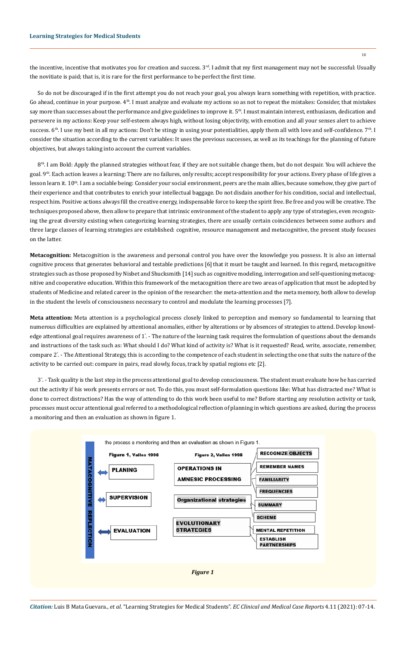the incentive, incentive that motivates you for creation and success.  $3<sup>rd</sup>$ . I admit that my first management may not be successful: Usually the novitiate is paid; that is, it is rare for the first performance to be perfect the first time.

So do not be discouraged if in the first attempt you do not reach your goal, you always learn something with repetition, with practice. Go ahead, continue in your purpose. 4<sup>th</sup>. I must analyze and evaluate my actions so as not to repeat the mistakes: Consider, that mistakes say more than successes about the performance and give guidelines to improve it. 5<sup>th</sup>. I must maintain interest, enthusiasm, dedication and persevere in my actions: Keep your self-esteem always high, without losing objectivity, with emotion and all your senses alert to achieve success.  $6<sup>th</sup>$ . I use my best in all my actions: Don't be stingy in using your potentialities, apply them all with love and self-confidence.  $7<sup>th</sup>$ . I consider the situation according to the current variables: It uses the previous successes, as well as its teachings for the planning of future objectives, but always taking into account the current variables.

 $8<sup>th</sup>$ . I am Bold: Apply the planned strategies without fear, if they are not suitable change them, but do not despair. You will achieve the goal. 9<sup>th</sup>. Each action leaves a learning: There are no failures, only results; accept responsibility for your actions. Every phase of life gives a lesson learn it. 10<sup>th</sup>. I am a sociable being: Consider your social environment, peers are the main allies, because somehow, they give part of their experience and that contributes to enrich your intellectual baggage. Do not disdain another for his condition, social and intellectual, respect him. Positive actions always fill the creative energy, indispensable force to keep the spirit free. Be free and you will be creative. The techniques proposed above, then allow to prepare that intrinsic environment of the student to apply any type of strategies, even recognizing the great diversity existing when categorizing learning strategies, there are usually certain coincidences between some authors and three large classes of learning strategies are established: cognitive, resource management and metacognitive, the present study focuses on the latter.

**Metacognition:** Metacognition is the awareness and personal control you have over the knowledge you possess. It is also an internal cognitive process that generates behavioral and testable predictions [6] that it must be taught and learned. In this regard, metacognitive strategies such as those proposed by Nisbet and Shucksmith [14] such as cognitive modeling, interrogation and self-questioning metacognitive and cooperative education. Within this framework of the metacognition there are two areas of application that must be adopted by students of Medicine and related career in the opinion of the researcher: the meta-attention and the meta memory, both allow to develop in the student the levels of consciousness necessary to control and modulate the learning processes [7].

**Meta attention:** Meta attention is a psychological process closely linked to perception and memory so fundamental to learning that numerous difficulties are explained by attentional anomalies, either by alterations or by absences of strategies to attend. Develop knowledge attentional goal requires awareness of 1°. - The nature of the learning task requires the formulation of questions about the demands and instructions of the task such as: What should I do? What kind of activity is? What is it requested? Read, write, associate, remember, compare 2° . - The Attentional Strategy, this is according to the competence of each student in selecting the one that suits the nature of the activity to be carried out: compare in pairs, read slowly, focus, track by spatial regions etc [2].

3° . - Task quality is the last step in the process attentional goal to develop consciousness. The student must evaluate how he has carried out the activity if his work presents errors or not. To do this, you must self-formulation questions like: What has distracted me? What is done to correct distractions? Has the way of attending to do this work been useful to me? Before starting any resolution activity or task, processes must occur attentional goal referred to a methodological reflection of planning in which questions are asked, during the process a monitoring and then an evaluation as shown in figure 1.

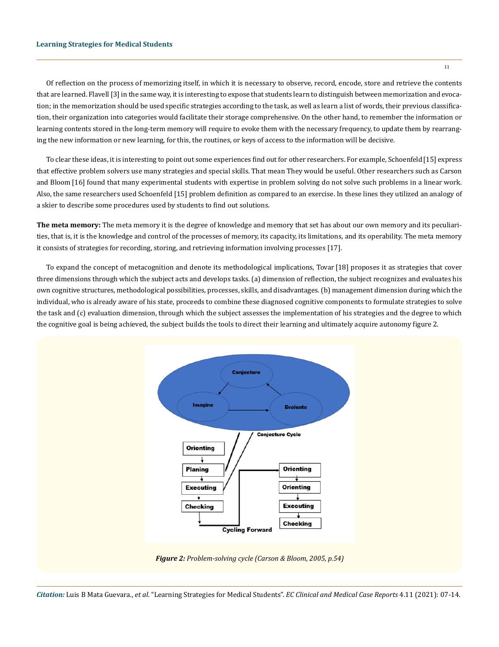Of reflection on the process of memorizing itself, in which it is necessary to observe, record, encode, store and retrieve the contents that are learned. Flavell [3] in the same way, it is interesting to expose that students learn to distinguish between memorization and evocation; in the memorization should be used specific strategies according to the task, as well as learn a list of words, their previous classification, their organization into categories would facilitate their storage comprehensive. On the other hand, to remember the information or learning contents stored in the long-term memory will require to evoke them with the necessary frequency, to update them by rearranging the new information or new learning, for this, the routines, or keys of access to the information will be decisive.

To clear these ideas, it is interesting to point out some experiences find out for other researchers. For example, Schoenfeld[15] express that effective problem solvers use many strategies and special skills. That mean They would be useful. Other researchers such as Carson and Bloom [16] found that many experimental students with expertise in problem solving do not solve such problems in a linear work. Also, the same researchers used Schoenfeld [15] problem definition as compared to an exercise. In these lines they utilized an analogy of a skier to describe some procedures used by students to find out solutions.

**The meta memory:** The meta memory it is the degree of knowledge and memory that set has about our own memory and its peculiarities, that is, it is the knowledge and control of the processes of memory, its capacity, its limitations, and its operability. The meta memory it consists of strategies for recording, storing, and retrieving information involving processes [17].

To expand the concept of metacognition and denote its methodological implications, Tovar [18] proposes it as strategies that cover three dimensions through which the subject acts and develops tasks. (a) dimension of reflection, the subject recognizes and evaluates his own cognitive structures, methodological possibilities, processes, skills, and disadvantages. (b) management dimension during which the individual, who is already aware of his state, proceeds to combine these diagnosed cognitive components to formulate strategies to solve the task and (c) evaluation dimension, through which the subject assesses the implementation of his strategies and the degree to which the cognitive goal is being achieved, the subject builds the tools to direct their learning and ultimately acquire autonomy figure 2.



*Citation:* Luis B Mata Guevara., *et al*. "Learning Strategies for Medical Students". *EC Clinical and Medical Case Reports* 4.11 (2021): 07-14.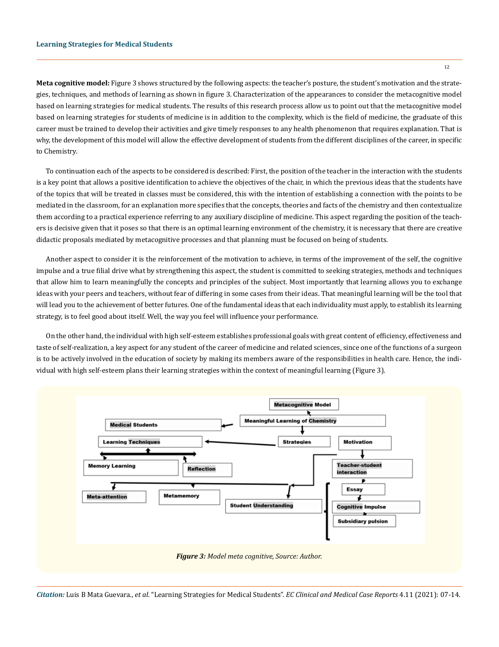**Meta cognitive model:** Figure 3 shows structured by the following aspects: the teacher's posture, the student's motivation and the strategies, techniques, and methods of learning as shown in figure 3. Characterization of the appearances to consider the metacognitive model based on learning strategies for medical students. The results of this research process allow us to point out that the metacognitive model based on learning strategies for students of medicine is in addition to the complexity, which is the field of medicine, the graduate of this career must be trained to develop their activities and give timely responses to any health phenomenon that requires explanation. That is why, the development of this model will allow the effective development of students from the different disciplines of the career, in specific to Chemistry.

To continuation each of the aspects to be considered is described: First, the position of the teacher in the interaction with the students is a key point that allows a positive identification to achieve the objectives of the chair, in which the previous ideas that the students have of the topics that will be treated in classes must be considered, this with the intention of establishing a connection with the points to be mediated in the classroom, for an explanation more specifies that the concepts, theories and facts of the chemistry and then contextualize them according to a practical experience referring to any auxiliary discipline of medicine. This aspect regarding the position of the teachers is decisive given that it poses so that there is an optimal learning environment of the chemistry, it is necessary that there are creative didactic proposals mediated by metacognitive processes and that planning must be focused on being of students.

Another aspect to consider it is the reinforcement of the motivation to achieve, in terms of the improvement of the self, the cognitive impulse and a true filial drive what by strengthening this aspect, the student is committed to seeking strategies, methods and techniques that allow him to learn meaningfully the concepts and principles of the subject. Most importantly that learning allows you to exchange ideas with your peers and teachers, without fear of differing in some cases from their ideas. That meaningful learning will be the tool that will lead you to the achievement of better futures. One of the fundamental ideas that each individuality must apply, to establish its learning strategy, is to feel good about itself. Well, the way you feel will influence your performance.

On the other hand, the individual with high self-esteem establishes professional goals with great content of efficiency, effectiveness and taste of self-realization, a key aspect for any student of the career of medicine and related sciences, since one of the functions of a surgeon is to be actively involved in the education of society by making its members aware of the responsibilities in health care. Hence, the individual with high self-esteem plans their learning strategies within the context of meaningful learning (Figure 3).



*Citation:* Luis B Mata Guevara., *et al*. "Learning Strategies for Medical Students". *EC Clinical and Medical Case Reports* 4.11 (2021): 07-14.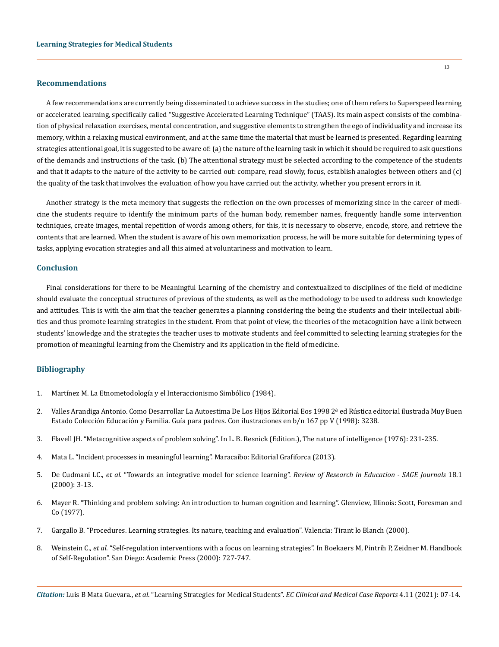#### **Recommendations**

A few recommendations are currently being disseminated to achieve success in the studies; one of them refers to Superspeed learning or accelerated learning, specifically called "Suggestive Accelerated Learning Technique" (TAAS). Its main aspect consists of the combination of physical relaxation exercises, mental concentration, and suggestive elements to strengthen the ego of individuality and increase its memory, within a relaxing musical environment, and at the same time the material that must be learned is presented. Regarding learning strategies attentional goal, it is suggested to be aware of: (a) the nature of the learning task in which it should be required to ask questions of the demands and instructions of the task. (b) The attentional strategy must be selected according to the competence of the students and that it adapts to the nature of the activity to be carried out: compare, read slowly, focus, establish analogies between others and (c) the quality of the task that involves the evaluation of how you have carried out the activity, whether you present errors in it.

Another strategy is the meta memory that suggests the reflection on the own processes of memorizing since in the career of medicine the students require to identify the minimum parts of the human body, remember names, frequently handle some intervention techniques, create images, mental repetition of words among others, for this, it is necessary to observe, encode, store, and retrieve the contents that are learned. When the student is aware of his own memorization process, he will be more suitable for determining types of tasks, applying evocation strategies and all this aimed at voluntariness and motivation to learn.

## **Conclusion**

Final considerations for there to be Meaningful Learning of the chemistry and contextualized to disciplines of the field of medicine should evaluate the conceptual structures of previous of the students, as well as the methodology to be used to address such knowledge and attitudes. This is with the aim that the teacher generates a planning considering the being the students and their intellectual abilities and thus promote learning strategies in the student. From that point of view, the theories of the metacognition have a link between students' knowledge and the strategies the teacher uses to motivate students and feel committed to selecting learning strategies for the promotion of meaningful learning from the Chemistry and its application in the field of medicine.

## **Bibliography**

- 1. Martínez M. La Etnometodología y el Interaccionismo Simbólico (1984).
- 2. Valles Arandiga Antonio. Como Desarrollar La Autoestima De Los Hijos Editorial Eos 1998 2ª ed Rústica editorial ilustrada Muy Buen Estado Colección Educación y Familia. Guía para padres. Con ilustraciones en b/n 167 pp V (1998): 3238.
- 3. Flavell JH. "Metacognitive aspects of problem solving". In L. B. Resnick (Edition.), The nature of intelligence (1976): 231-235.
- 4. Mata L. "Incident processes in meaningful learning". Maracaibo: Editorial Grafiforca (2013).
- 5. De Cudmani LC., *et al.* "Towards an integrative model for science learning". *Review of Research in Education SAGE Journals* 18.1 (2000): 3-13.
- 6. [Mayer R. "Thinking and problem solving: An introduction to human cognition and learning". Glenview, Illinois: Scott, Foresman and](https://www.semanticscholar.org/paper/Thinking-and-problem-solving%3A-An-introduction-to-Mayer/8da4311fb6317c92c9b6a1e64af448f87cc22f32)  [Co \(1977\).](https://www.semanticscholar.org/paper/Thinking-and-problem-solving%3A-An-introduction-to-Mayer/8da4311fb6317c92c9b6a1e64af448f87cc22f32)
- 7. Gargallo B. "Procedures. Learning strategies. Its nature, teaching and evaluation". Valencia: Tirant lo Blanch (2000).
- 8. Weinstein C., *et al*[. "Self-regulation interventions with a focus on learning strategies". In Boekaers M, Pintrih P, Zeidner M. Handbook](https://www.sciencedirect.com/science/article/pii/B9780121098902500512)  [of Self-Regulation". San Diego: Academic Press \(2000\): 727-747.](https://www.sciencedirect.com/science/article/pii/B9780121098902500512)

*Citation:* Luis B Mata Guevara., *et al*. "Learning Strategies for Medical Students". *EC Clinical and Medical Case Reports* 4.11 (2021): 07-14.